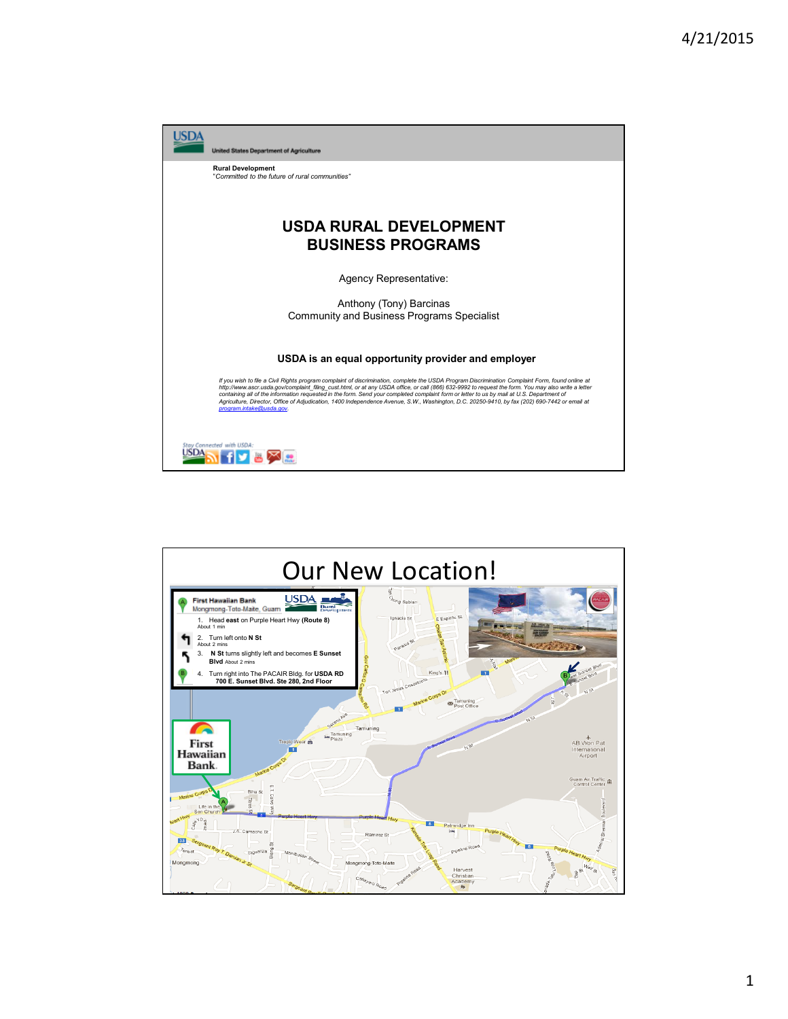

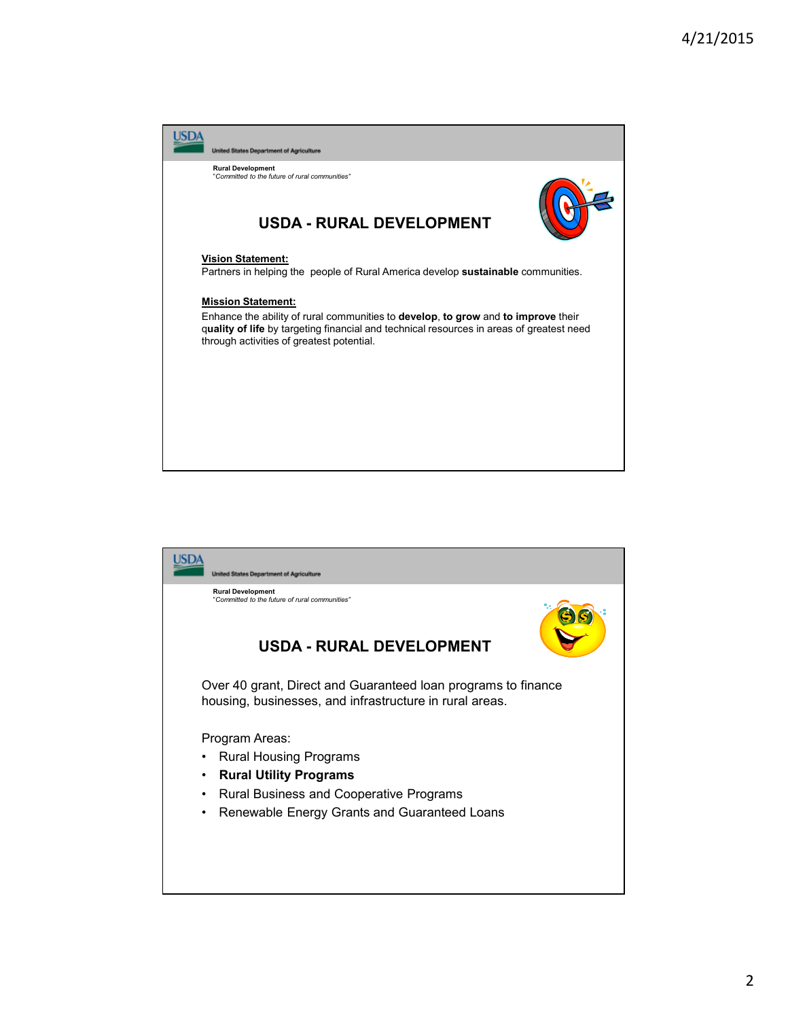

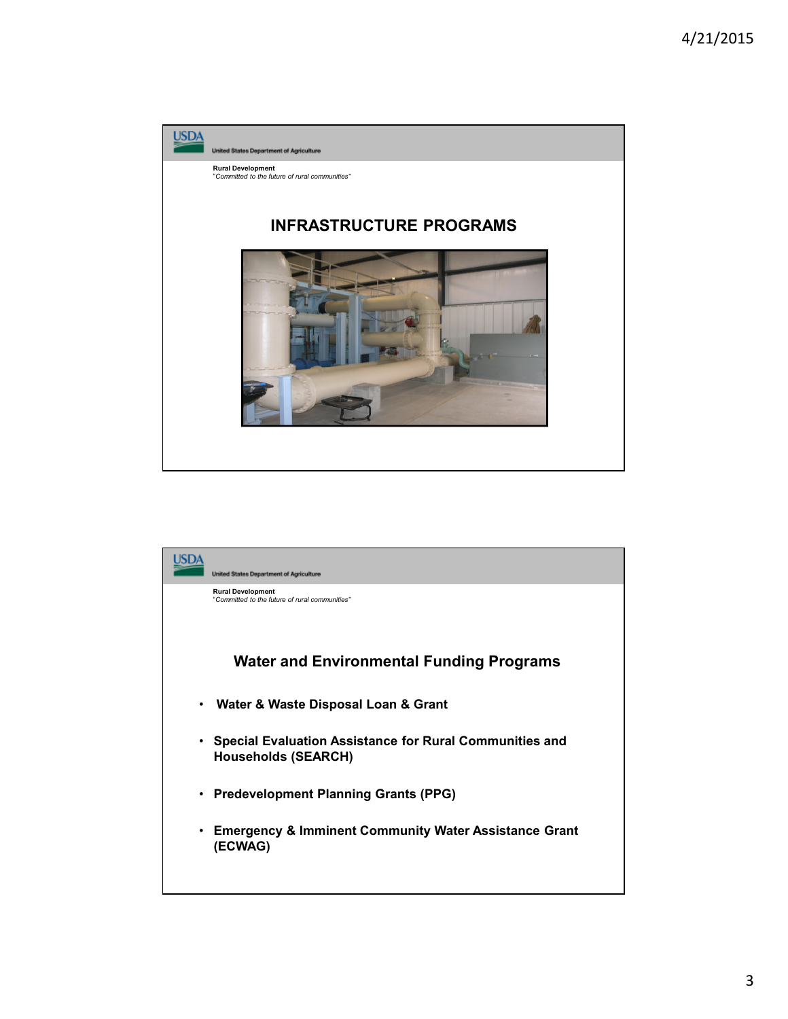

|   | <b>United States Department of Agriculture</b>                                        |
|---|---------------------------------------------------------------------------------------|
|   | <b>Rural Development</b><br>"Committed to the future of rural communities"            |
|   | Water and Environmental Funding Programs                                              |
| ٠ | Water & Waste Disposal Loan & Grant                                                   |
| ٠ | Special Evaluation Assistance for Rural Communities and<br><b>Households (SEARCH)</b> |
| ٠ | <b>Predevelopment Planning Grants (PPG)</b>                                           |
| ٠ | <b>Emergency &amp; Imminent Community Water Assistance Grant</b><br>(ECWAG)           |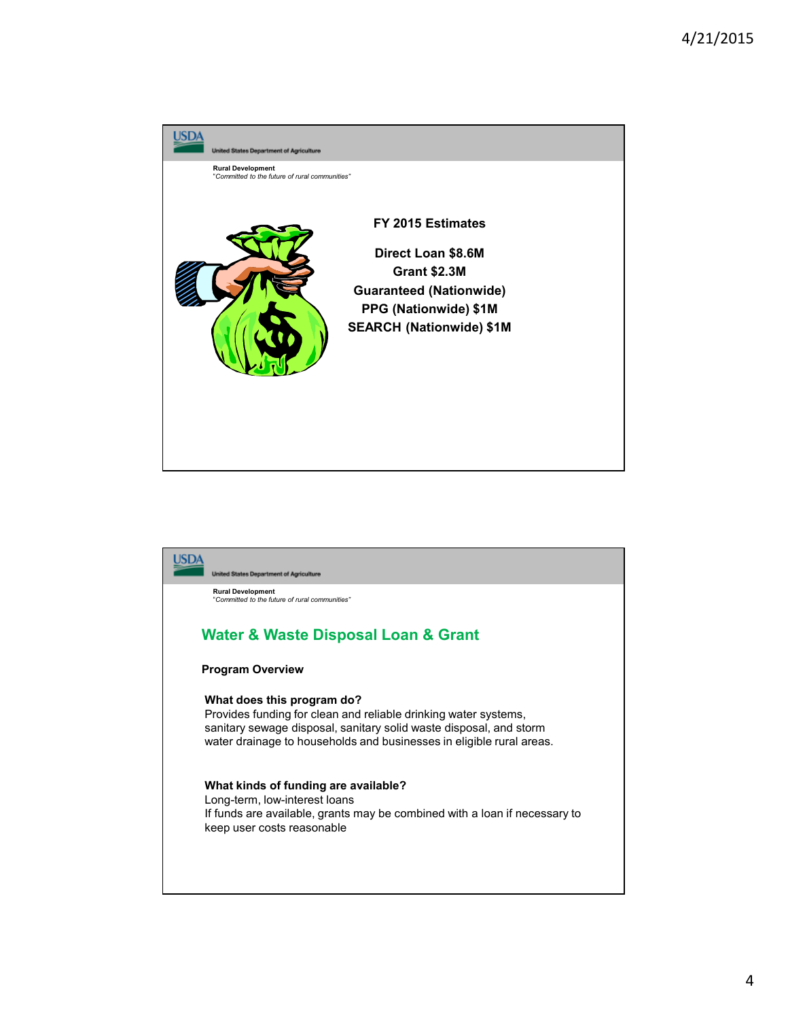

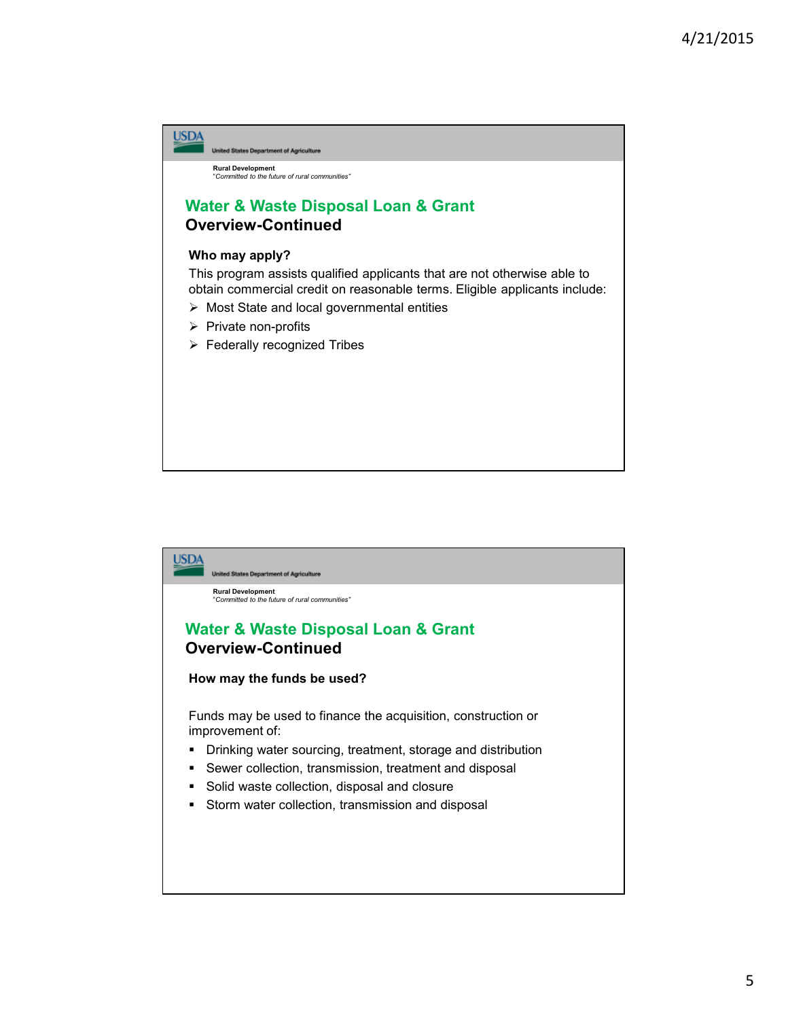

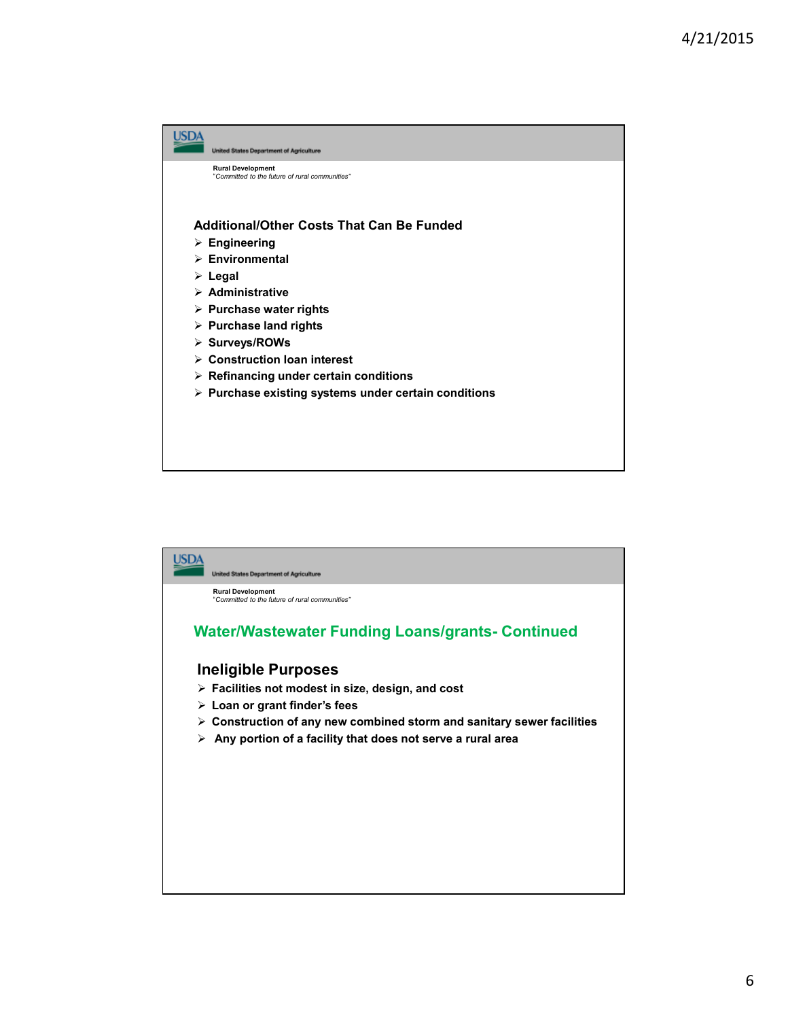

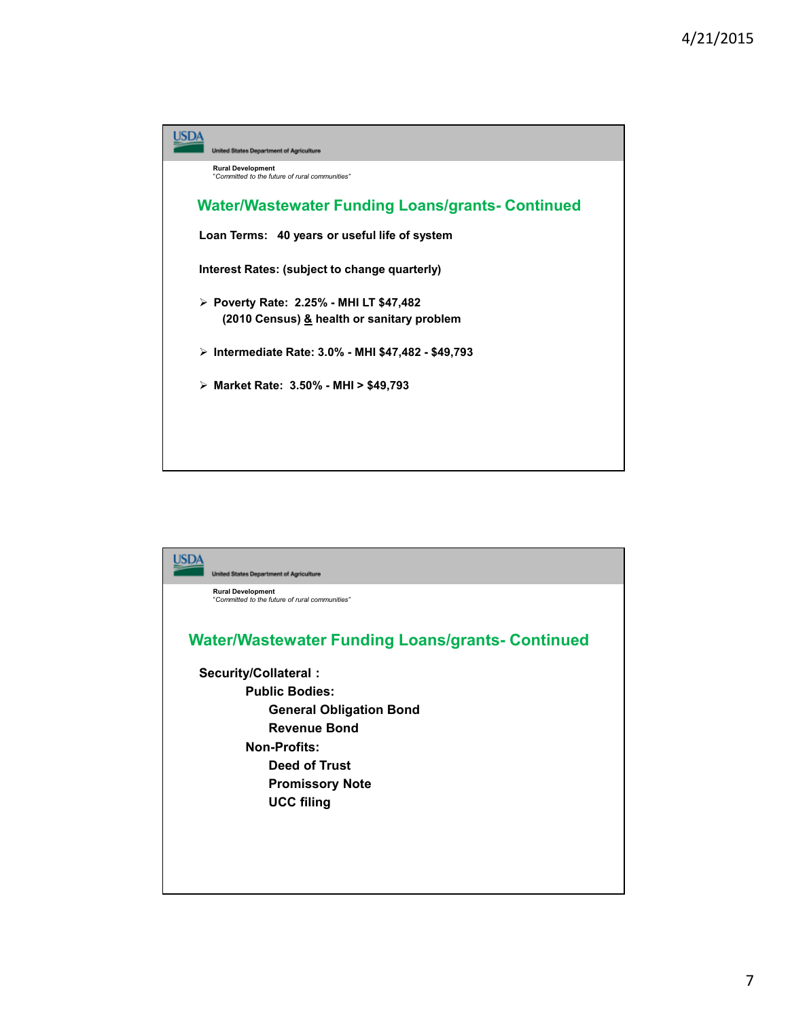

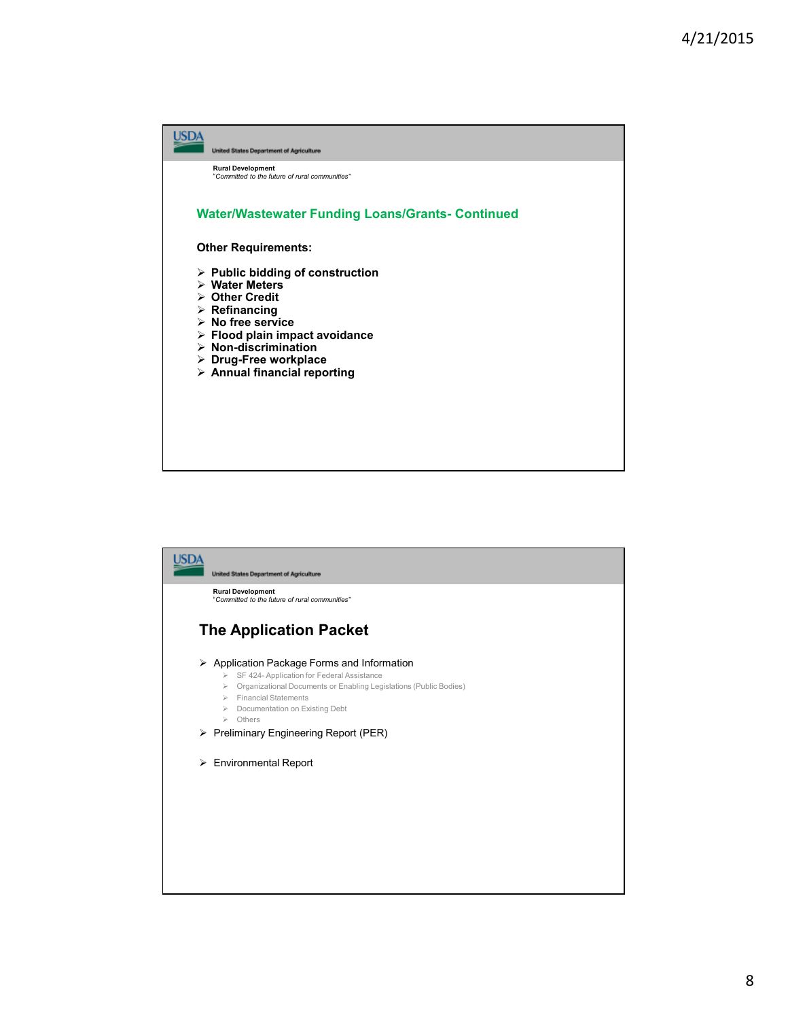

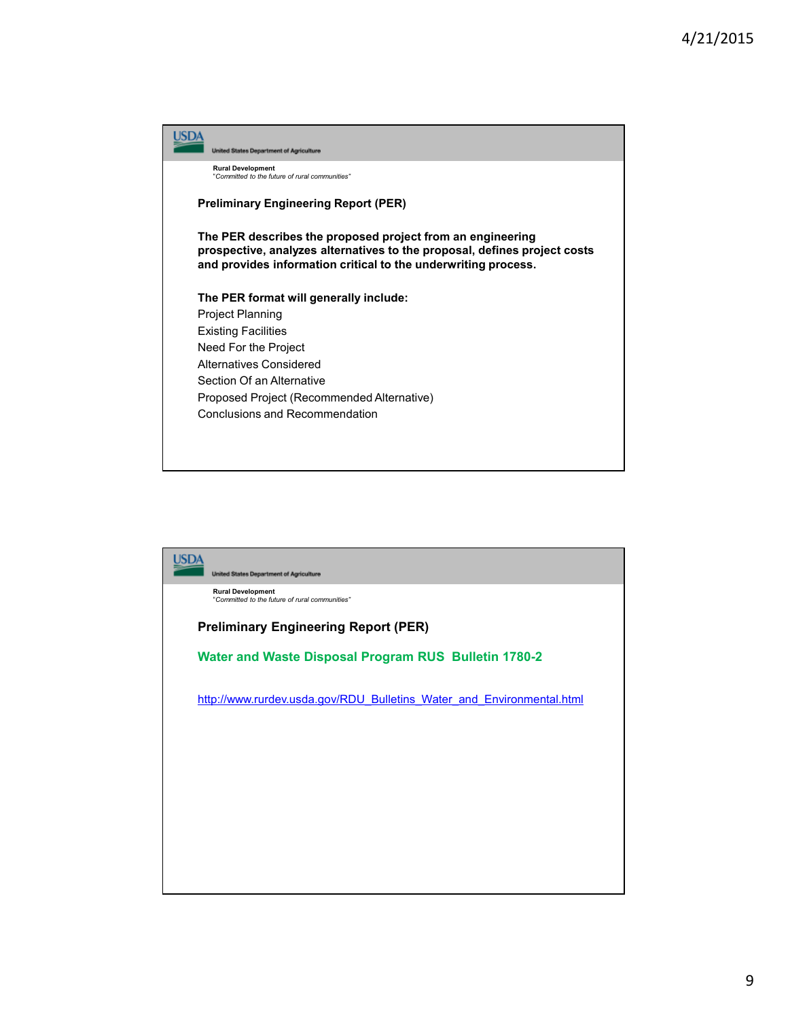|                                             | <b>United States Department of Agriculture</b>                                                                                                                                                            |
|---------------------------------------------|-----------------------------------------------------------------------------------------------------------------------------------------------------------------------------------------------------------|
|                                             | <b>Rural Development</b><br>"Committed to the future of rural communities"                                                                                                                                |
| <b>Preliminary Engineering Report (PER)</b> |                                                                                                                                                                                                           |
|                                             | The PER describes the proposed project from an engineering<br>prospective, analyzes alternatives to the proposal, defines project costs<br>and provides information critical to the underwriting process. |
|                                             | The PER format will generally include:                                                                                                                                                                    |
|                                             | <b>Project Planning</b>                                                                                                                                                                                   |
|                                             | <b>Existing Facilities</b>                                                                                                                                                                                |
|                                             | Need For the Project                                                                                                                                                                                      |
|                                             | Alternatives Considered                                                                                                                                                                                   |
|                                             | Section Of an Alternative                                                                                                                                                                                 |
|                                             | Proposed Project (Recommended Alternative)                                                                                                                                                                |
|                                             | Conclusions and Recommendation                                                                                                                                                                            |
|                                             |                                                                                                                                                                                                           |
|                                             |                                                                                                                                                                                                           |
|                                             |                                                                                                                                                                                                           |

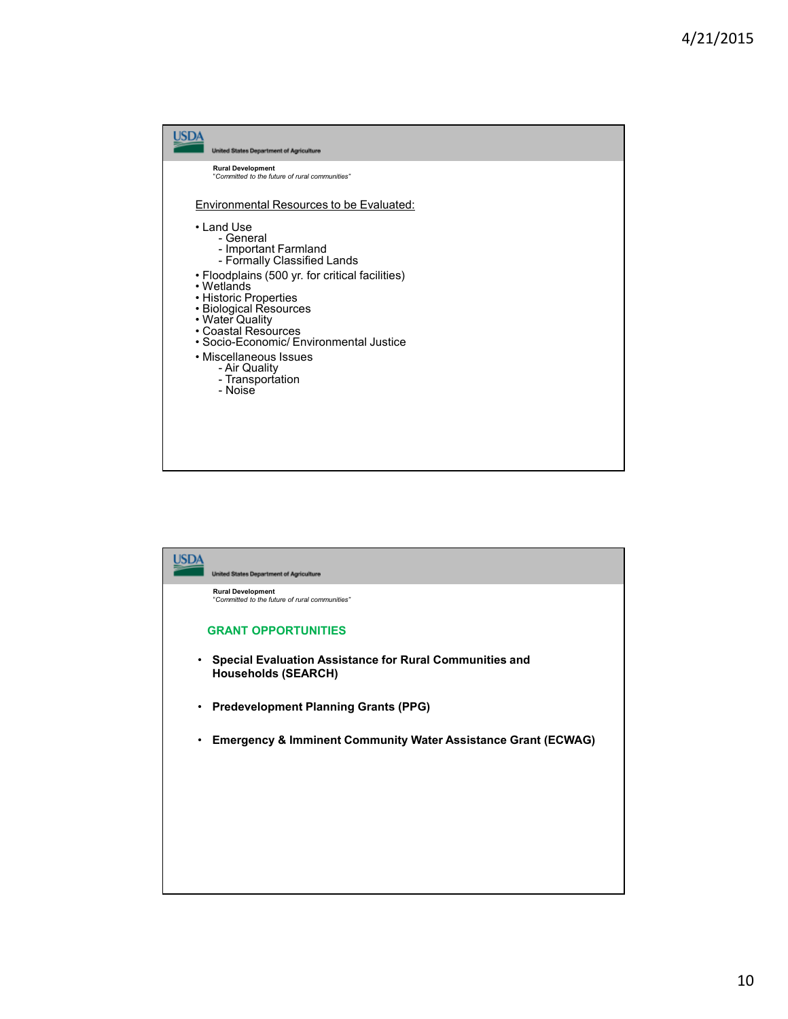

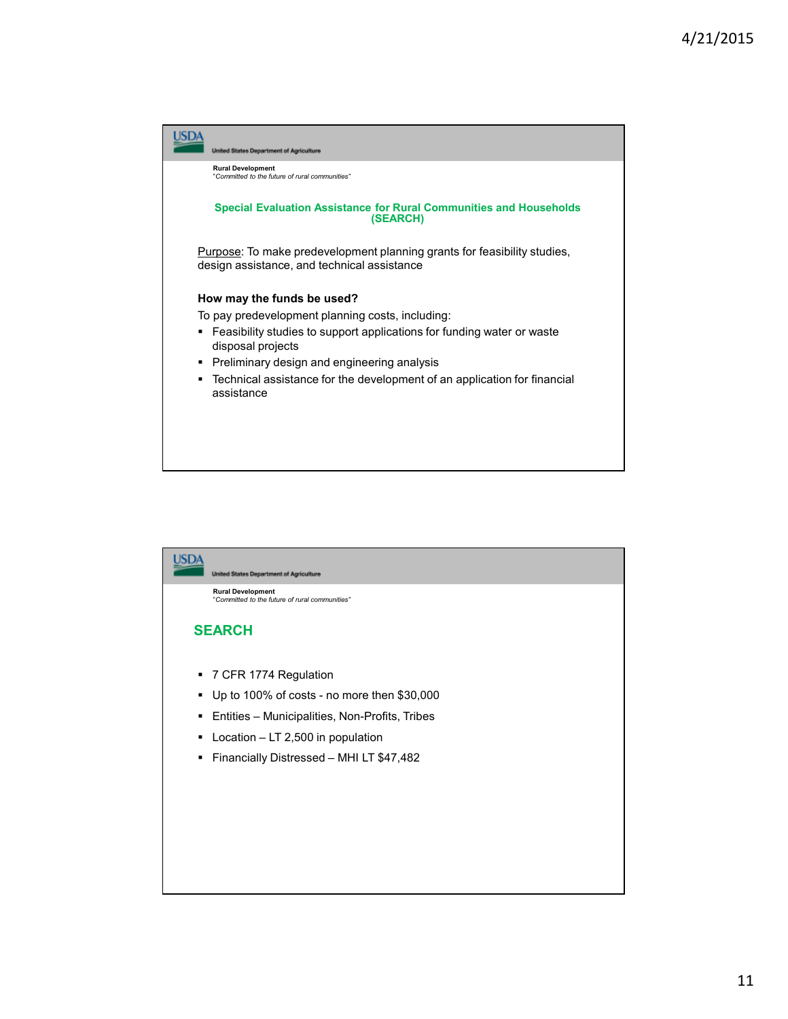

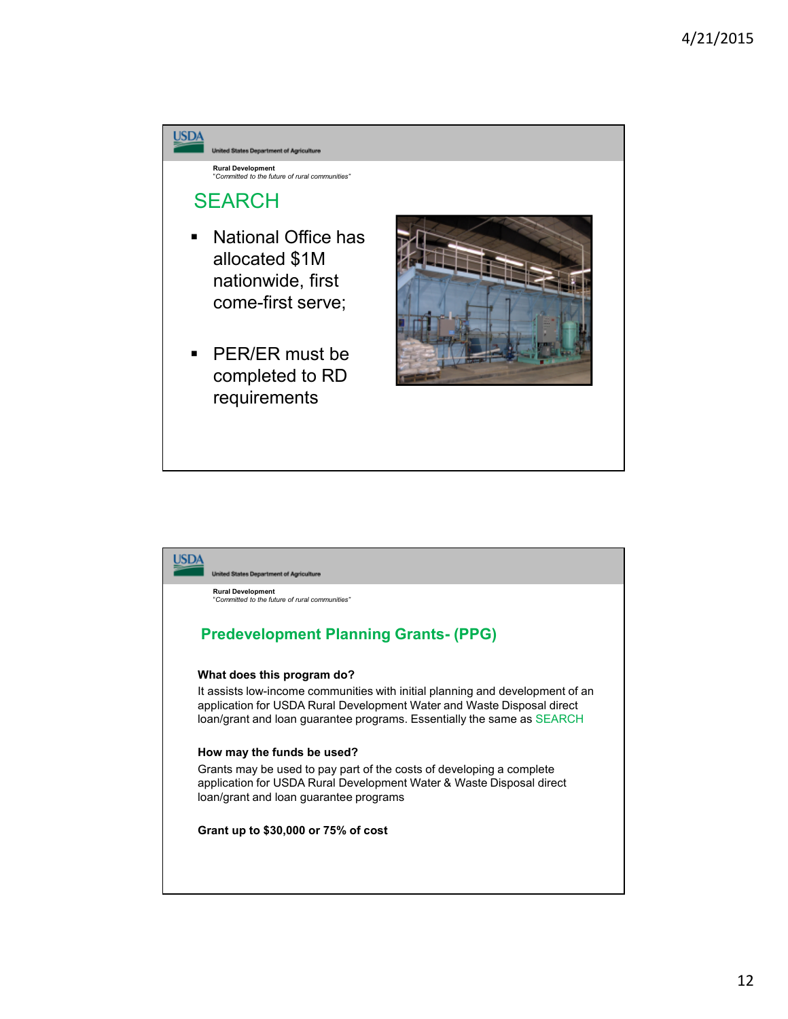

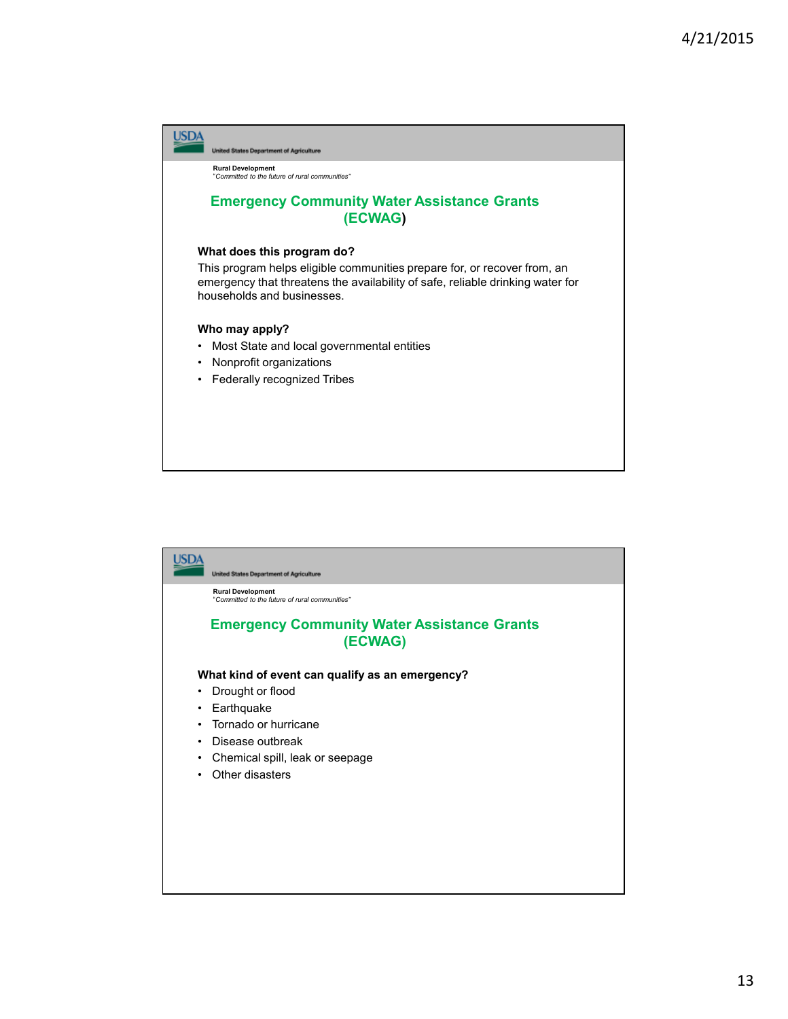

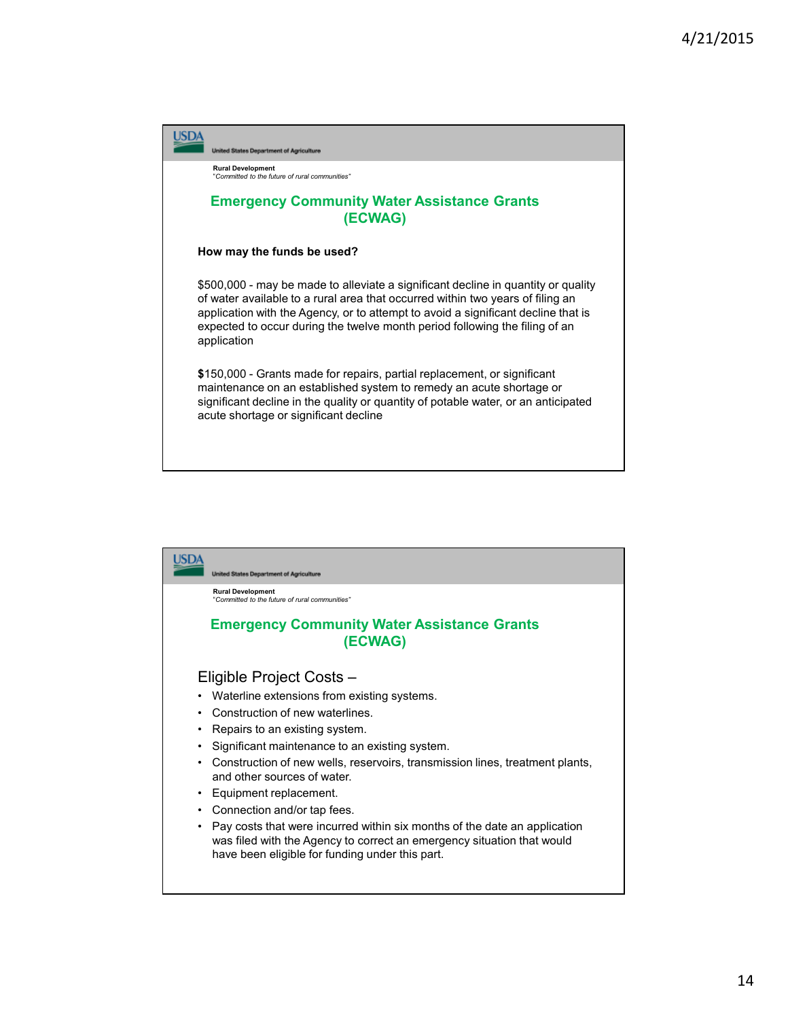

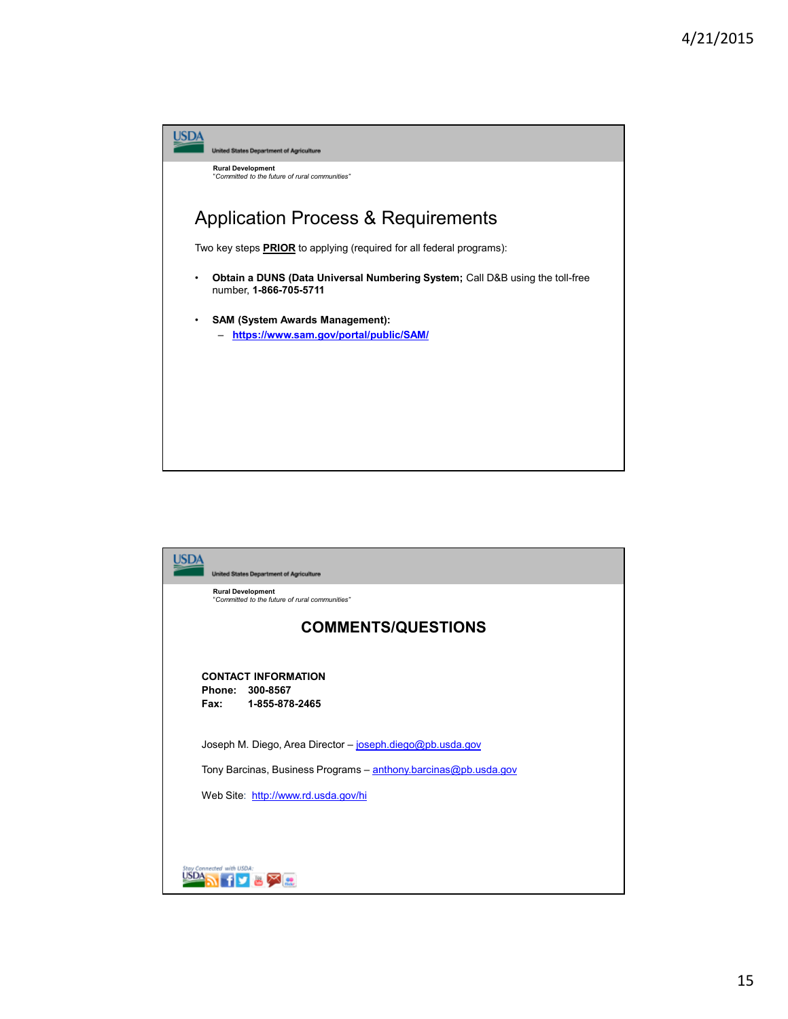